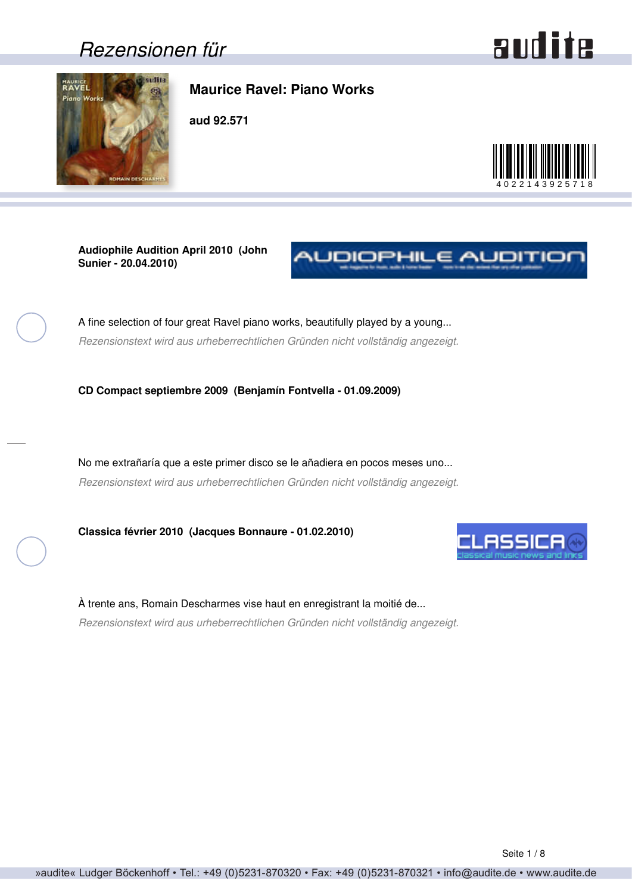### <span id="page-0-0"></span>*Rezensionen für*

### audite



### **Maurice Ravel: Piano Works**

**aud 92.571**



**Audiophile Audition April 2010 (John Sunier - 20.04.2010)**



A fine selection of four great Ravel piano works, beautifully played by a young... *Rezensionstext wird aus urheberrechtlichen Gründen nicht vollständig angezeigt.*

**CD Compact septiembre 2009 (Benjamín Fontvella - 01.09.2009)**

No me extrañaría que a este primer disco se le añadiera en pocos meses uno... *Rezensionstext wird aus urheberrechtlichen Gründen nicht vollständig angezeigt.*

**Classica février 2010 (Jacques Bonnaure - 01.02.2010)**



À trente ans, Romain Descharmes vise haut en enregistrant la moitié de... *Rezensionstext wird aus urheberrechtlichen Gründen nicht vollständig angezeigt.*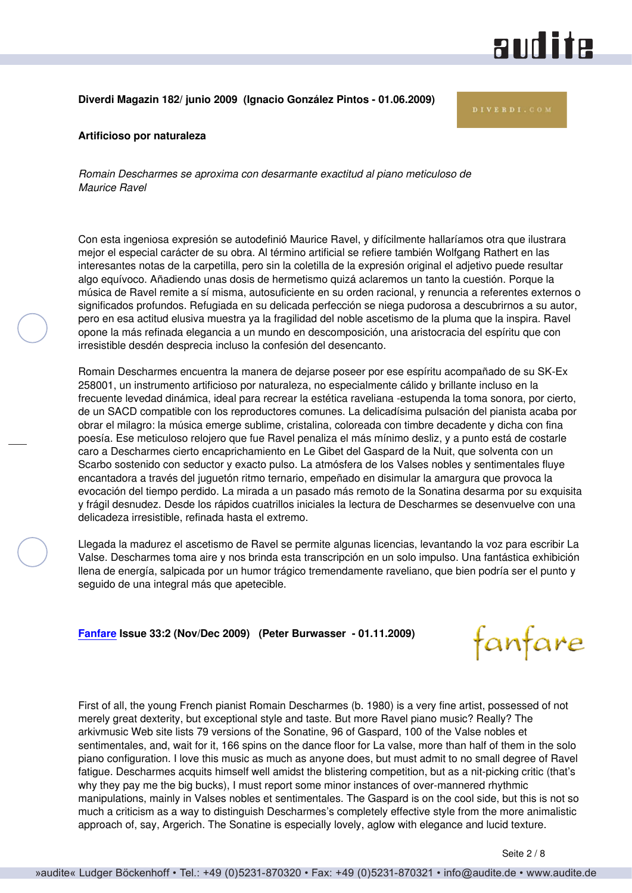### **andite**

#### <span id="page-1-0"></span>**Diverdi Magazin 182/ junio 2009 (Ignacio González Pintos - 01.06.2009)**

#### **Artificioso por naturaleza**

*Romain Descharmes se aproxima con desarmante exactitud al piano meticuloso de Maurice Ravel*

Con esta ingeniosa expresión se autodefinió Maurice Ravel, y difícilmente hallaríamos otra que ilustrara mejor el especial carácter de su obra. Al término artificial se refiere también Wolfgang Rathert en las interesantes notas de la carpetilla, pero sin la coletilla de la expresión original el adjetivo puede resultar algo equívoco. Añadiendo unas dosis de hermetismo quizá aclaremos un tanto la cuestión. Porque la música de Ravel remite a sí misma, autosuficiente en su orden racional, y renuncia a referentes externos o significados profundos. Refugiada en su delicada perfección se niega pudorosa a descubrirnos a su autor, pero en esa actitud elusiva muestra ya la fragilidad del noble ascetismo de la pluma que la inspira. Ravel opone la más refinada elegancia a un mundo en descomposición, una aristocracia del espíritu que con irresistible desdén desprecia incluso la confesión del desencanto.

Romain Descharmes encuentra la manera de dejarse poseer por ese espíritu acompañado de su SK-Ex 258001, un instrumento artificioso por naturaleza, no especialmente cálido y brillante incluso en la frecuente levedad dinámica, ideal para recrear la estética raveliana -estupenda la toma sonora, por cierto, de un SACD compatible con los reproductores comunes. La delicadísima pulsación del pianista acaba por obrar el milagro: la música emerge sublime, cristalina, coloreada con timbre decadente y dicha con fina poesía. Ese meticuloso relojero que fue Ravel penaliza el más mínimo desliz, y a punto está de costarle caro a Descharmes cierto encaprichamiento en Le Gibet del Gaspard de la Nuit, que solventa con un Scarbo sostenido con seductor y exacto pulso. La atmósfera de los Valses nobles y sentimentales fluye encantadora a través del juguetón ritmo ternario, empeñado en disimular la amargura que provoca la evocación del tiempo perdido. La mirada a un pasado más remoto de la Sonatina desarma por su exquisita y frágil desnudez. Desde los rápidos cuatrillos iniciales la lectura de Descharmes se desenvuelve con una delicadeza irresistible, refinada hasta el extremo.

Llegada la madurez el ascetismo de Ravel se permite algunas licencias, levantando la voz para escribir La Valse. Descharmes toma aire y nos brinda esta transcripción en un solo impulso. Una fantástica exhibición llena de energía, salpicada por un humor trágico tremendamente raveliano, que bien podría ser el punto y seguido de una integral más que apetecible.

**[Fanfare](http://www.fanfaremag.com/) Issue 33:2 (Nov/Dec 2009) (Peter Burwasser - 01.11.2009)**

First of all, the young French pianist Romain Descharmes (b. 1980) is a very fine artist, possessed of not merely great dexterity, but exceptional style and taste. But more Ravel piano music? Really? The arkivmusic Web site lists 79 versions of the Sonatine, 96 of Gaspard, 100 of the Valse nobles et sentimentales, and, wait for it, 166 spins on the dance floor for La valse, more than half of them in the solo piano configuration. I love this music as much as anyone does, but must admit to no small degree of Ravel fatigue. Descharmes acquits himself well amidst the blistering competition, but as a nit-picking critic (that's why they pay me the big bucks), I must report some minor instances of over-mannered rhythmic manipulations, mainly in Valses nobles et sentimentales. The Gaspard is on the cool side, but this is not so much a criticism as a way to distinguish Descharmes's completely effective style from the more animalistic approach of, say, Argerich. The Sonatine is especially lovely, aglow with elegance and lucid texture.

fanfare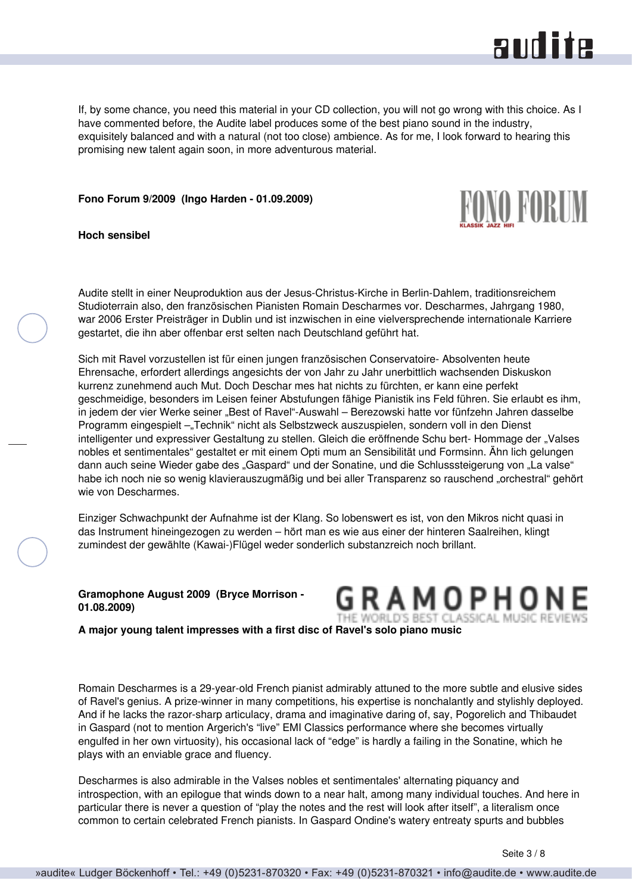### and ite

<span id="page-2-0"></span>If, by some chance, you need this material in your CD collection, you will not go wrong with this choice. As I have commented before, the Audite label produces some of the best piano sound in the industry, exquisitely balanced and with a natural (not too close) ambience. As for me, I look forward to hearing this promising new talent again soon, in more adventurous material.

**Fono Forum 9/2009 (Ingo Harden - 01.09.2009)**



**Hoch sensibel**

Audite stellt in einer Neuproduktion aus der Jesus-Christus-Kirche in Berlin-Dahlem, traditionsreichem Studioterrain also, den französischen Pianisten Romain Descharmes vor. Descharmes, Jahrgang 1980, war 2006 Erster Preisträger in Dublin und ist inzwischen in eine vielversprechende internationale Karriere gestartet, die ihn aber offenbar erst selten nach Deutschland geführt hat.

Sich mit Ravel vorzustellen ist für einen jungen französischen Conservatoire- Absolventen heute Ehrensache, erfordert allerdings angesichts der von Jahr zu Jahr unerbittlich wachsenden Diskuskon kurrenz zunehmend auch Mut. Doch Deschar mes hat nichts zu fürchten, er kann eine perfekt geschmeidige, besonders im Leisen feiner Abstufungen fähige Pianistik ins Feld führen. Sie erlaubt es ihm, in jedem der vier Werke seiner "Best of Ravel"-Auswahl – Berezowski hatte vor fünfzehn Jahren dasselbe Programm eingespielt – "Technik" nicht als Selbstzweck auszuspielen, sondern voll in den Dienst intelligenter und expressiver Gestaltung zu stellen. Gleich die eröffnende Schu bert- Hommage der "Valses nobles et sentimentales" gestaltet er mit einem Opti mum an Sensibilität und Formsinn. Ähn lich gelungen dann auch seine Wieder gabe des "Gaspard" und der Sonatine, und die Schlusssteigerung von "La valse" habe ich noch nie so wenig klavierauszugmäßig und bei aller Transparenz so rauschend "orchestral" gehört wie von Descharmes.

Einziger Schwachpunkt der Aufnahme ist der Klang. So lobenswert es ist, von den Mikros nicht quasi in das Instrument hineingezogen zu werden – hört man es wie aus einer der hinteren Saalreihen, klingt zumindest der gewählte (Kawai-)Flügel weder sonderlich substanzreich noch brillant.

**Gramophone August 2009 (Bryce Morrison - 01.08.2009)**

GRAMOPH HE WORLD'S BEST CLASSICAL MUSIC REVIE!

**A major young talent impresses with a first disc of Ravel's solo piano music**

Romain Descharmes is a 29-year-old French pianist admirably attuned to the more subtle and elusive sides of Ravel's genius. A prize-winner in many competitions, his expertise is nonchalantly and stylishly deployed. And if he lacks the razor-sharp articulacy, drama and imaginative daring of, say, Pogorelich and Thibaudet in Gaspard (not to mention Argerich's "live" EMI Classics performance where she becomes virtually engulfed in her own virtuosity), his occasional lack of "edge" is hardly a failing in the Sonatine, which he plays with an enviable grace and fluency.

Descharmes is also admirable in the Valses nobles et sentimentales' alternating piquancy and introspection, with an epilogue that winds down to a near halt, among many individual touches. And here in particular there is never a question of "play the notes and the rest will look after itself", a literalism once common to certain celebrated French pianists. In Gaspard Ondine's watery entreaty spurts and bubbles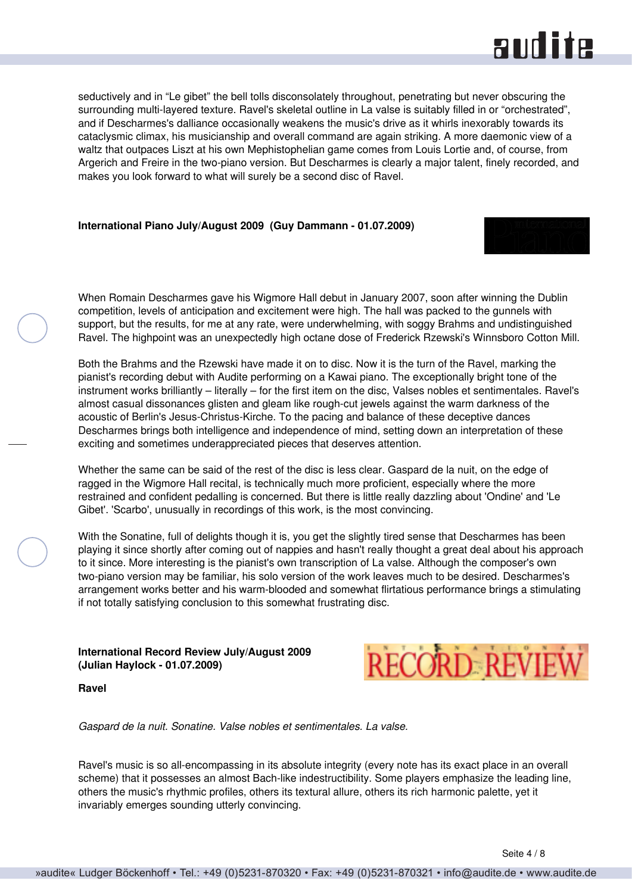### **RUD ite**

<span id="page-3-0"></span>seductively and in "Le gibet" the bell tolls disconsolately throughout, penetrating but never obscuring the surrounding multi-layered texture. Ravel's skeletal outline in La valse is suitably filled in or "orchestrated", and if Descharmes's dalliance occasionally weakens the music's drive as it whirls inexorably towards its cataclysmic climax, his musicianship and overall command are again striking. A more daemonic view of a waltz that outpaces Liszt at his own Mephistophelian game comes from Louis Lortie and, of course, from Argerich and Freire in the two-piano version. But Descharmes is clearly a major talent, finely recorded, and makes you look forward to what will surely be a second disc of Ravel.

#### **International Piano July/August 2009 (Guy Dammann - 01.07.2009)**

When Romain Descharmes gave his Wigmore Hall debut in January 2007, soon after winning the Dublin competition, levels of anticipation and excitement were high. The hall was packed to the gunnels with support, but the results, for me at any rate, were underwhelming, with soggy Brahms and undistinguished Ravel. The highpoint was an unexpectedly high octane dose of Frederick Rzewski's Winnsboro Cotton Mill.

Both the Brahms and the Rzewski have made it on to disc. Now it is the turn of the Ravel, marking the pianist's recording debut with Audite performing on a Kawai piano. The exceptionally bright tone of the instrument works brilliantly – literally – for the first item on the disc, Valses nobles et sentimentales. Ravel's almost casual dissonances glisten and gleam like rough-cut jewels against the warm darkness of the acoustic of Berlin's Jesus-Christus-Kirche. To the pacing and balance of these deceptive dances Descharmes brings both intelligence and independence of mind, setting down an interpretation of these exciting and sometimes underappreciated pieces that deserves attention.

Whether the same can be said of the rest of the disc is less clear. Gaspard de la nuit, on the edge of ragged in the Wigmore Hall recital, is technically much more proficient, especially where the more restrained and confident pedalling is concerned. But there is little really dazzling about 'Ondine' and 'Le Gibet'. 'Scarbo', unusually in recordings of this work, is the most convincing.

With the Sonatine, full of delights though it is, you get the slightly tired sense that Descharmes has been playing it since shortly after coming out of nappies and hasn't really thought a great deal about his approach to it since. More interesting is the pianist's own transcription of La valse. Although the composer's own two-piano version may be familiar, his solo version of the work leaves much to be desired. Descharmes's arrangement works better and his warm-blooded and somewhat flirtatious performance brings a stimulating if not totally satisfying conclusion to this somewhat frustrating disc.

**International Record Review July/August 2009 (Julian Haylock - 01.07.2009)**



**Ravel**

*Gaspard de la nuit. Sonatine. Valse nobles et sentimentales. La valse.*

Ravel's music is so all-encompassing in its absolute integrity (every note has its exact place in an overall scheme) that it possesses an almost Bach-like indestructibility. Some players emphasize the leading line, others the music's rhythmic profiles, others its textural allure, others its rich harmonic palette, yet it invariably emerges sounding utterly convincing.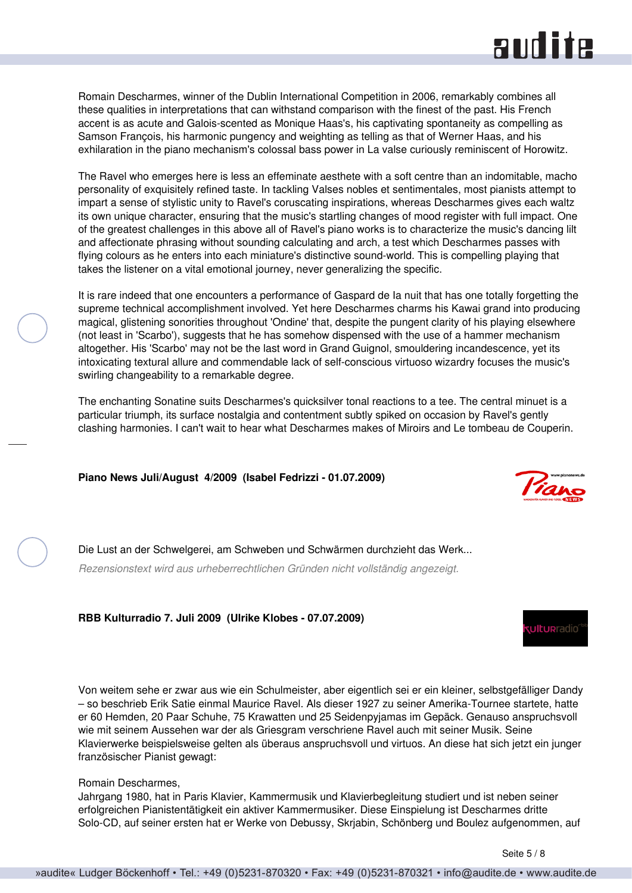### and ite

<span id="page-4-0"></span>Romain Descharmes, winner of the Dublin International Competition in 2006, remarkably combines all these qualities in interpretations that can withstand comparison with the finest of the past. His French accent is as acute and Galois-scented as Monique Haas's, his captivating spontaneity as compelling as Samson François, his harmonic pungency and weighting as telling as that of Werner Haas, and his exhilaration in the piano mechanism's colossal bass power in La valse curiously reminiscent of Horowitz.

The Ravel who emerges here is less an effeminate aesthete with a soft centre than an indomitable, macho personality of exquisitely refined taste. In tackling Valses nobles et sentimentales, most pianists attempt to impart a sense of stylistic unity to Ravel's coruscating inspirations, whereas Descharmes gives each waltz its own unique character, ensuring that the music's startling changes of mood register with full impact. One of the greatest challenges in this above all of Ravel's piano works is to characterize the music's dancing lilt and affectionate phrasing without sounding calculating and arch, a test which Descharmes passes with flying colours as he enters into each miniature's distinctive sound-world. This is compelling playing that takes the listener on a vital emotional journey, never generalizing the specific.

It is rare indeed that one encounters a performance of Gaspard de Ia nuit that has one totally forgetting the supreme technical accomplishment involved. Yet here Descharmes charms his Kawai grand into producing magical, glistening sonorities throughout 'Ondine' that, despite the pungent clarity of his playing elsewhere (not least in 'Scarbo'), suggests that he has somehow dispensed with the use of a hammer mechanism altogether. His 'Scarbo' may not be the last word in Grand Guignol, smouldering incandescence, yet its intoxicating textural allure and commendable lack of self-conscious virtuoso wizardry focuses the music's swirling changeability to a remarkable degree.

The enchanting Sonatine suits Descharmes's quicksilver tonal reactions to a tee. The central minuet is a particular triumph, its surface nostalgia and contentment subtly spiked on occasion by Ravel's gently clashing harmonies. I can't wait to hear what Descharmes makes of Miroirs and Le tombeau de Couperin.

**Piano News Juli/August 4/2009 (Isabel Fedrizzi - 01.07.2009)**



**ultur**radio

Die Lust an der Schwelgerei, am Schweben und Schwärmen durchzieht das Werk... *Rezensionstext wird aus urheberrechtlichen Gründen nicht vollständig angezeigt.*

**RBB Kulturradio 7. Juli 2009 (Ulrike Klobes - 07.07.2009)**

Von weitem sehe er zwar aus wie ein Schulmeister, aber eigentlich sei er ein kleiner, selbstgefälliger Dandy – so beschrieb Erik Satie einmal Maurice Ravel. Als dieser 1927 zu seiner Amerika-Tournee startete, hatte er 60 Hemden, 20 Paar Schuhe, 75 Krawatten und 25 Seidenpyjamas im Gepäck. Genauso anspruchsvoll wie mit seinem Aussehen war der als Griesgram verschriene Ravel auch mit seiner Musik. Seine Klavierwerke beispielsweise gelten als überaus anspruchsvoll und virtuos. An diese hat sich jetzt ein junger französischer Pianist gewagt:

#### Romain Descharmes,

Jahrgang 1980, hat in Paris Klavier, Kammermusik und Klavierbegleitung studiert und ist neben seiner erfolgreichen Pianistentätigkeit ein aktiver Kammermusiker. Diese Einspielung ist Descharmes dritte Solo-CD, auf seiner ersten hat er Werke von Debussy, Skrjabin, Schönberg und Boulez aufgenommen, auf

Seite 5 / 8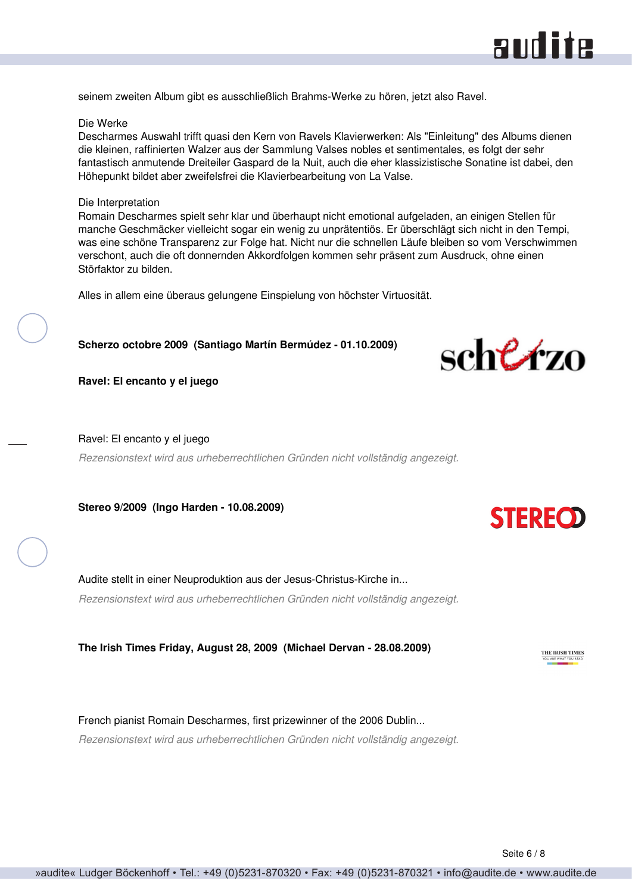### audite

<span id="page-5-0"></span>seinem zweiten Album gibt es ausschließlich Brahms-Werke zu hören, jetzt also Ravel.

#### Die Werke

Descharmes Auswahl trifft quasi den Kern von Ravels Klavierwerken: Als "Einleitung" des Albums dienen die kleinen, raffinierten Walzer aus der Sammlung Valses nobles et sentimentales, es folgt der sehr fantastisch anmutende Dreiteiler Gaspard de la Nuit, auch die eher klassizistische Sonatine ist dabei, den Höhepunkt bildet aber zweifelsfrei die Klavierbearbeitung von La Valse.

#### Die Interpretation

Romain Descharmes spielt sehr klar und überhaupt nicht emotional aufgeladen, an einigen Stellen für manche Geschmäcker vielleicht sogar ein wenig zu unprätentiös. Er überschlägt sich nicht in den Tempi, was eine schöne Transparenz zur Folge hat. Nicht nur die schnellen Läufe bleiben so vom Verschwimmen verschont, auch die oft donnernden Akkordfolgen kommen sehr präsent zum Ausdruck, ohne einen Störfaktor zu bilden.

Alles in allem eine überaus gelungene Einspielung von höchster Virtuosität.

#### **Scherzo octobre 2009 (Santiago Martín Bermúdez - 01.10.2009)**



**Ravel: El encanto y el juego**

Ravel: El encanto y el juego

*Rezensionstext wird aus urheberrechtlichen Gründen nicht vollständig angezeigt.*

**Stereo 9/2009 (Ingo Harden - 10.08.2009)**

Audite stellt in einer Neuproduktion aus der Jesus-Christus-Kirche in... *Rezensionstext wird aus urheberrechtlichen Gründen nicht vollständig angezeigt.*

**The Irish Times Friday, August 28, 2009 (Michael Dervan - 28.08.2009)**

French pianist Romain Descharmes, first prizewinner of the 2006 Dublin... *Rezensionstext wird aus urheberrechtlichen Gründen nicht vollständig angezeigt.*



**STEREOD**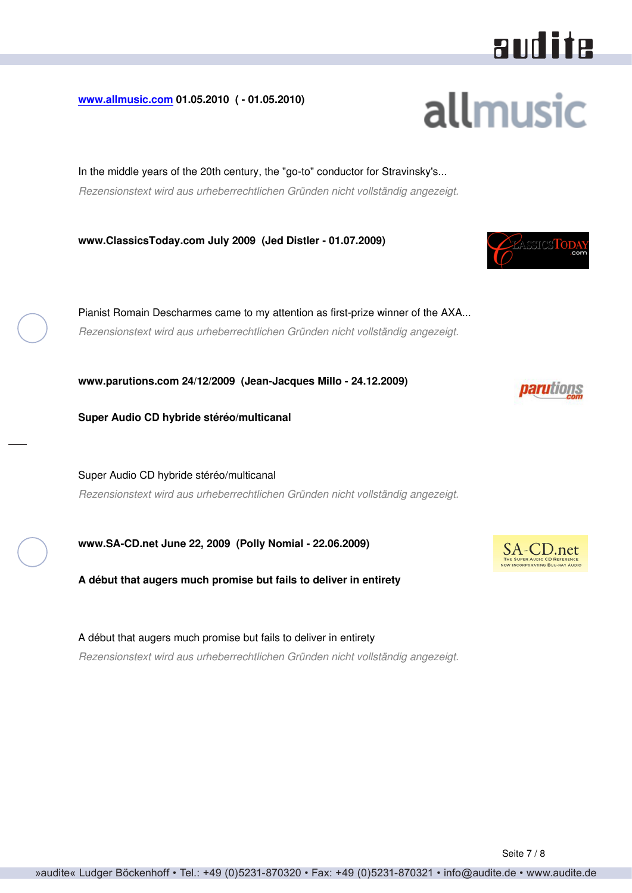# audite

**allmusic** 

<span id="page-6-0"></span>**[www.allmusic.com](http://www.allmusic.com) 01.05.2010 ( - 01.05.2010)**

In the middle years of the 20th century, the "go-to" conductor for Stravinsky's... *Rezensionstext wird aus urheberrechtlichen Gründen nicht vollständig angezeigt.*

**www.ClassicsToday.com July 2009 (Jed Distler - 01.07.2009)**

Pianist Romain Descharmes came to my attention as first-prize winner of the AXA... *Rezensionstext wird aus urheberrechtlichen Gründen nicht vollständig angezeigt.*

**www.parutions.com 24/12/2009 (Jean-Jacques Millo - 24.12.2009)**

**Super Audio CD hybride stéréo/multicanal**

Super Audio CD hybride stéréo/multicanal *Rezensionstext wird aus urheberrechtlichen Gründen nicht vollständig angezeigt.*

**www.SA-CD.net June 22, 2009 (Polly Nomial - 22.06.2009)**

**A début that augers much promise but fails to deliver in entirety**

A début that augers much promise but fails to deliver in entirety *Rezensionstext wird aus urheberrechtlichen Gründen nicht vollständig angezeigt.*





*parutions*